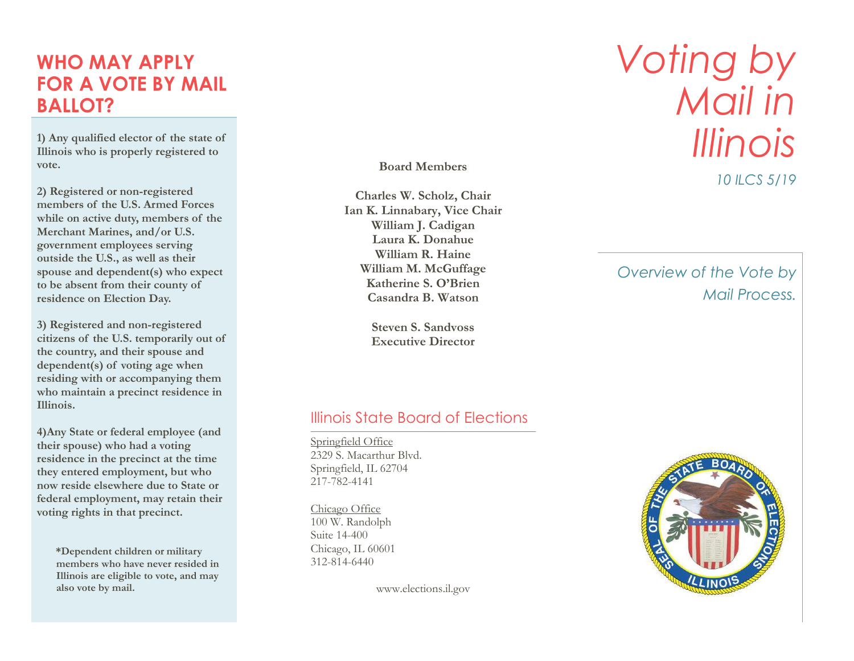### **WHO MAY APPLY FOR A VOTE BY MAIL BALLOT?**

**1) Any qualified elector of the state of Illinois who is properly registered to vote .**

**2) Registered or non -registered member s of the U.S. Armed Forces while on active duty, members of the Merchant Marines, and/or U.S. government employees serving outside the U.S., as well as their spouse and dependent(s) who expect to be absent from their county of residence on Election Day.**

**3) Registered and non -registered citizen s of the U.S. temporarily out of the country, and their spouse and dependent(s) of voting age when residing with or accompanying them who maintain a precinct residence in Illinois.**

**4)Any State or federal employee (and their spouse) who had a voting residence in the precinct at the time they entered employment, but who now reside elsewhere due to State or federal employment, may retain their voting rights in that precinct .**

 **\*Dependent children or military members who have never resided in Illinois are eligible to vote, and may also vote by mail.**

**Board Members**

**Charles W. Scholz, Chair Ian K. Linnabary, Vice Chair William J. Cadigan Laura K. Donahue William R. Haine William M. McGuffage Katherine S. O 'Brien Casandra B. Watson**

> **Steven S. Sandvoss Executive Director**

# *Voting by Mail in Illinois*

*10 ILCS 5/19*

*Overview of the Vote by Mail Process.*

#### Illinois State Board of Elections

Springfield Office 2329 S. Macarthur Blvd. Springfield, IL 62704 217 -782 -4141

Chicago Office 100 W. Randolph Suite 14 -400 Chicago, IL 60601 312 -814 -6440

www.elections.il.gov